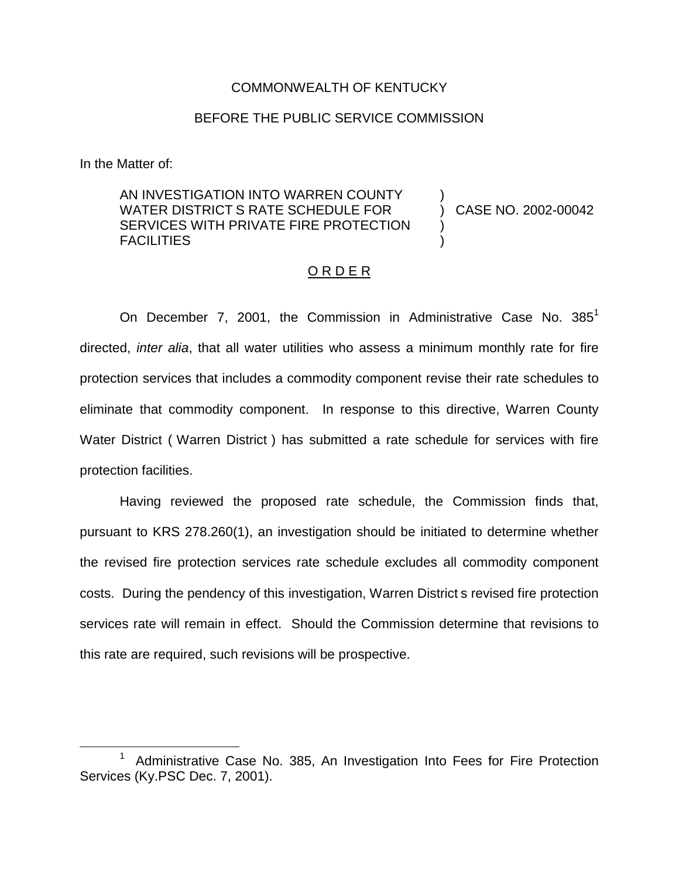### COMMONWEALTH OF KENTUCKY

## BEFORE THE PUBLIC SERVICE COMMISSION

In the Matter of:

# AN INVESTIGATION INTO WARREN COUNTY WATER DISTRICT S RATE SCHEDULE FOR SERVICES WITH PRIVATE FIRE PROTECTION FACILITIES

) CASE NO. 2002-00042

)

) )

#### <u>O R D E R</u>

On December 7, 2001, the Commission in Administrative Case No.  $385<sup>1</sup>$ directed, *inter alia*, that all water utilities who assess a minimum monthly rate for fire protection services that includes a commodity component revise their rate schedules to eliminate that commodity component. In response to this directive, Warren County Water District ( Warren District ) has submitted a rate schedule for services with fire protection facilities.

Having reviewed the proposed rate schedule, the Commission finds that, pursuant to KRS 278.260(1), an investigation should be initiated to determine whether the revised fire protection services rate schedule excludes all commodity component costs. During the pendency of this investigation, Warren District s revised fire protection services rate will remain in effect. Should the Commission determine that revisions to this rate are required, such revisions will be prospective.

<sup>1</sup> Administrative Case No. 385, An Investigation Into Fees for Fire Protection Services (Ky.PSC Dec. 7, 2001).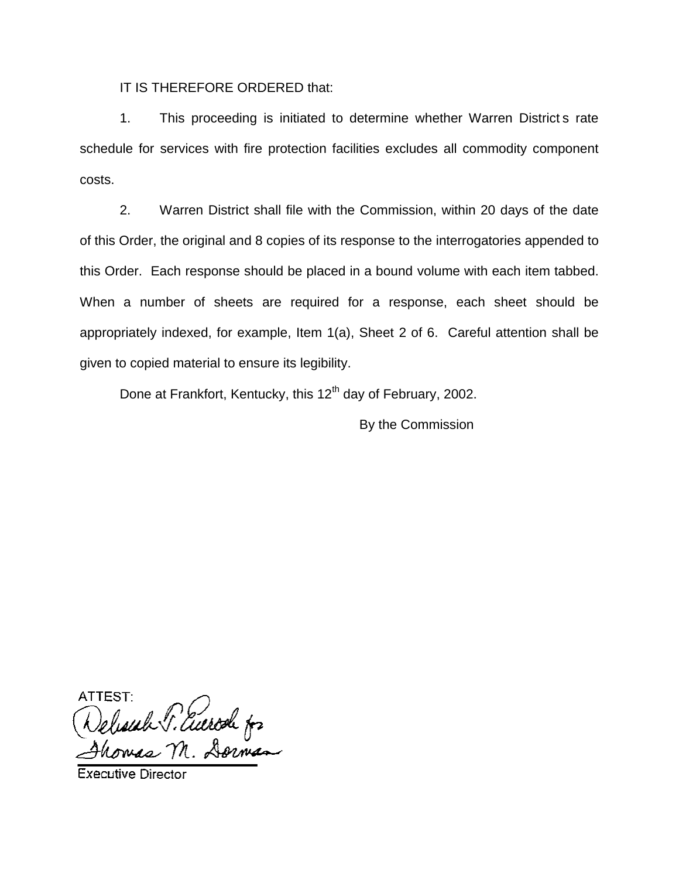IT IS THEREFORE ORDERED that:

1. This proceeding is initiated to determine whether Warren District s rate schedule for services with fire protection facilities excludes all commodity component costs.

2. Warren District shall file with the Commission, within 20 days of the date of this Order, the original and 8 copies of its response to the interrogatories appended to this Order. Each response should be placed in a bound volume with each item tabbed. When a number of sheets are required for a response, each sheet should be appropriately indexed, for example, Item 1(a), Sheet 2 of 6. Careful attention shall be given to copied material to ensure its legibility.

Done at Frankfort, Kentucky, this 12<sup>th</sup> day of February, 2002.

By the Commission

ATTEST Selesiah P. Euerod for

**Executive Director**